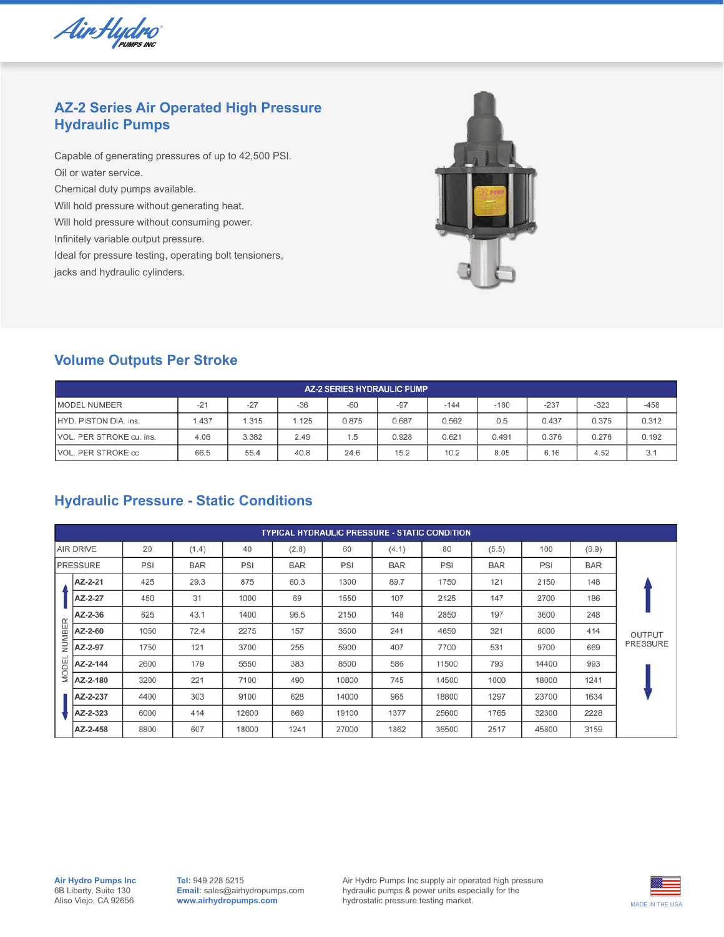

# **AZ-2 Series Air Operated High Pressure Hydraulic Pumps**

Capable of generating pressures of up to 42,500 PSI. Oil or water service. Chemical duty pumps available. Will hold pressure without generating heat. Will hold pressure without consuming power. Infinitely variable output pressure. Ideal for pressure testing, operating bolt tensioners, jacks and hydraulic cylinders.



# **Volume Outputs Per Stroke**

| <b>AZ-2 SERIES HYDRAULIC PUMP</b> |       |       |       |       |       |        |        |        |       |       |  |  |  |  |
|-----------------------------------|-------|-------|-------|-------|-------|--------|--------|--------|-------|-------|--|--|--|--|
| <b>IMODEL NUMBER</b>              | $-21$ | $-27$ | $-36$ | -60   | $-97$ | $-144$ | $-180$ | $-237$ | -323  | -458  |  |  |  |  |
| <b>IHYD. PISTON DIA. ins.</b>     | .437  | 1.315 | 1.125 | 0.875 | 0.687 | 0.562  | 0.5    | 0.437  | 0.375 | 0.312 |  |  |  |  |
| VOL. PER STROKE cu. ins.          | 4.06  | 3.382 | 2.49  | 1.5   | 0.928 | 0.621  | 0.491  | 0.376  | 0.276 | 0.192 |  |  |  |  |
| <b>IVOL. PER STROKE cc</b>        | 66.5  | 55.4  | 40.8  | 24.6  | 15.2  | 10.2   | 8.05   | 6.16   | 4.52  | 3.1   |  |  |  |  |

# **Hydraulic Pressure - Static Conditions**

|                  | <b>TYPICAL HYDRAULIC PRESSURE - STATIC CONDITION</b> |      |            |       |            |       |            |       |            |       |            |                 |  |  |
|------------------|------------------------------------------------------|------|------------|-------|------------|-------|------------|-------|------------|-------|------------|-----------------|--|--|
| <b>AIR DRIVE</b> |                                                      | 20   | (1.4)      | 40    | (2.8)      | 60    | (4.1)      | 80    | (5.5)      | 100   | (6.9)      |                 |  |  |
| PRESSURE         |                                                      | PSI  | <b>BAR</b> | PSI   | <b>BAR</b> | PSI   | <b>BAR</b> | PSI   | <b>BAR</b> | PSI   | <b>BAR</b> |                 |  |  |
|                  | AZ-2-21                                              | 425  | 29.3       | 875   | 60.3       | 1300  | 89.7       | 1750  | 121        | 2150  | 148        |                 |  |  |
|                  | AZ-2-27                                              | 450  | 31         | 1000  | 69         | 1550  | 107        | 2125  | 147        | 2700  | 186        |                 |  |  |
|                  | AZ-2-36                                              | 625  | 43.1       | 1400  | 96.5       | 2150  | 148        | 2850  | 197        | 3600  | 248        | OUTPUT          |  |  |
| <b>NUMBER</b>    | AZ-2-60                                              | 1050 | 72.4       | 2275  | 157        | 3500  | 241        | 4650  | 321        | 6000  | 414        |                 |  |  |
|                  | AZ-2-97                                              | 1750 | 121        | 3700  | 255        | 5900  | 407        | 7700  | 531        | 9700  | 669        | <b>PRESSURE</b> |  |  |
| MODEI            | AZ-2-144                                             | 2600 | 179        | 5550  | 383        | 8500  | 586        | 11500 | 793        | 14400 | 993        |                 |  |  |
|                  | AZ-2-180                                             | 3200 | 221        | 7100  | 490        | 10800 | 745        | 14500 | 1000       | 18000 | 1241       |                 |  |  |
|                  | AZ-2-237                                             | 4400 | 303        | 9100  | 628        | 14000 | 965        | 18800 | 1297       | 23700 | 1634       |                 |  |  |
|                  | AZ-2-323                                             | 6000 | 414        | 12600 | 869        | 19100 | 1377       | 25600 | 1765       | 32300 | 2228       |                 |  |  |
|                  | AZ-2-458                                             | 8800 | 607        | 18000 | 1241       | 27000 | 1862       | 36500 | 2517       | 45800 | 3159       |                 |  |  |

**Air Hydro Pumps Inc** 6B Liberty, Suite 130 Aliso Viejo, CA 92656

**Tel:** 949 228 5215 **Email:** sales@airhydropumps.com **www.airhydropumps.com**

Air Hydro Pumps Inc supply air operated high pressure hydraulic pumps & power units especially for the hydrostatic pressure testing market.

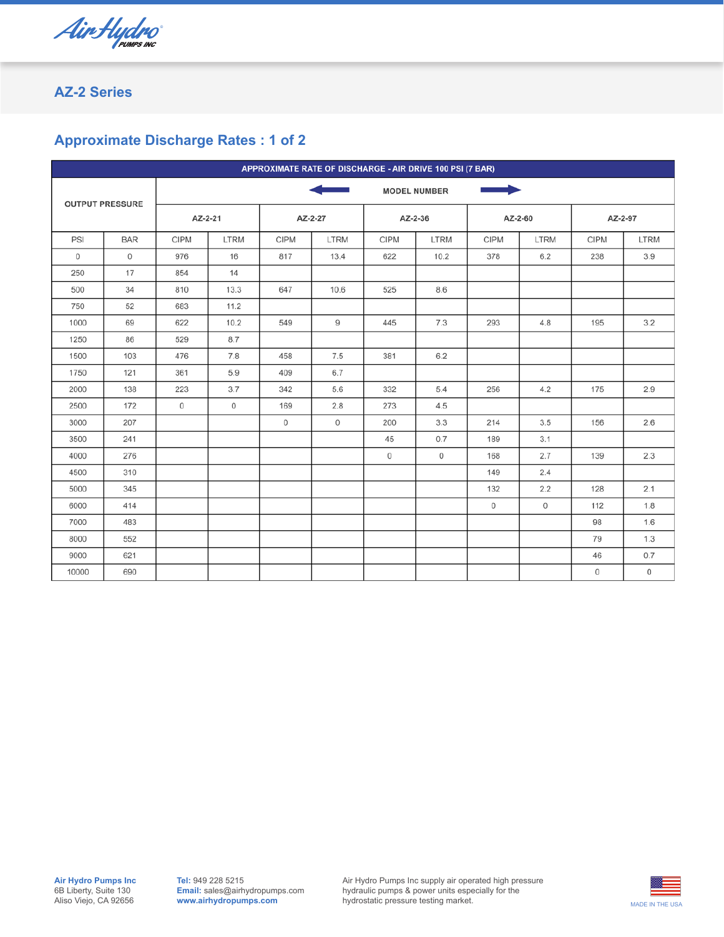

# **Approximate Discharge Rates : 1 of 2**

|             | APPROXIMATE RATE OF DISCHARGE - AIR DRIVE 100 PSI (7 BAR) |                     |             |             |             |             |             |             |             |             |             |  |  |
|-------------|-----------------------------------------------------------|---------------------|-------------|-------------|-------------|-------------|-------------|-------------|-------------|-------------|-------------|--|--|
|             | <b>OUTPUT PRESSURE</b>                                    | <b>MODEL NUMBER</b> |             |             |             |             |             |             |             |             |             |  |  |
|             |                                                           | AZ-2-21             |             | AZ-2-27     |             | AZ-2-36     |             | AZ-2-60     |             | AZ-2-97     |             |  |  |
| PSI         | <b>BAR</b>                                                | <b>CIPM</b>         | <b>LTRM</b> | <b>CIPM</b> | <b>LTRM</b> | <b>CIPM</b> | <b>LTRM</b> | <b>CIPM</b> | <b>LTRM</b> | <b>CIPM</b> | <b>LTRM</b> |  |  |
| $\mathbf 0$ | $\mathbf 0$                                               | 976                 | 16          | 817         | 13.4        | 622         | 10.2        | 378         | 6.2         | 238         | 3.9         |  |  |
| 250         | 17                                                        | 854                 | 14          |             |             |             |             |             |             |             |             |  |  |
| 500         | 34                                                        | 810                 | 13.3        | 647         | 10.6        | 525         | 8.6         |             |             |             |             |  |  |
| 750         | 52                                                        | 683                 | 11.2        |             |             |             |             |             |             |             |             |  |  |
| 1000        | 69                                                        | 622                 | 10.2        | 549         | 9           | 445         | 7.3         | 293         | 4.8         | 195         | 3.2         |  |  |
| 1250        | 86                                                        | 529                 | 8.7         |             |             |             |             |             |             |             |             |  |  |
| 1500        | 103                                                       | 476                 | 7.8         | 458         | 7.5         | 381         | 6.2         |             |             |             |             |  |  |
| 1750        | 121                                                       | 361                 | 5.9         | 409         | 6.7         |             |             |             |             |             |             |  |  |
| 2000        | 138                                                       | 223                 | 3.7         | 342         | 5.6         | 332         | 5.4         | 256         | 4.2         | 175         | 2.9         |  |  |
| 2500        | 172                                                       | $\mathbf 0$         | $\circ$     | 169         | 2.8         | 273         | 4.5         |             |             |             |             |  |  |
| 3000        | 207                                                       |                     |             | 0           | 0           | 200         | 3.3         | 214         | 3.5         | 156         | 2.6         |  |  |
| 3500        | 241                                                       |                     |             |             |             | 45          | 0.7         | 189         | 3.1         |             |             |  |  |
| 4000        | 276                                                       |                     |             |             |             | $\mathbb O$ | 0           | 168         | 2.7         | 139         | 2.3         |  |  |
| 4500        | 310                                                       |                     |             |             |             |             |             | 149         | 2.4         |             |             |  |  |
| 5000        | 345                                                       |                     |             |             |             |             |             | 132         | 2.2         | 128         | 2.1         |  |  |
| 6000        | 414                                                       |                     |             |             |             |             |             | $\mathbf 0$ | $\circ$     | 112         | 1.8         |  |  |
| 7000        | 483                                                       |                     |             |             |             |             |             |             |             | 98          | 1.6         |  |  |
| 8000        | 552                                                       |                     |             |             |             |             |             |             |             | 79          | 1.3         |  |  |
| 9000        | 621                                                       |                     |             |             |             |             |             |             |             | 46          | 0.7         |  |  |
| 10000       | 690                                                       |                     |             |             |             |             |             |             |             | 0           | $\mathbf 0$ |  |  |

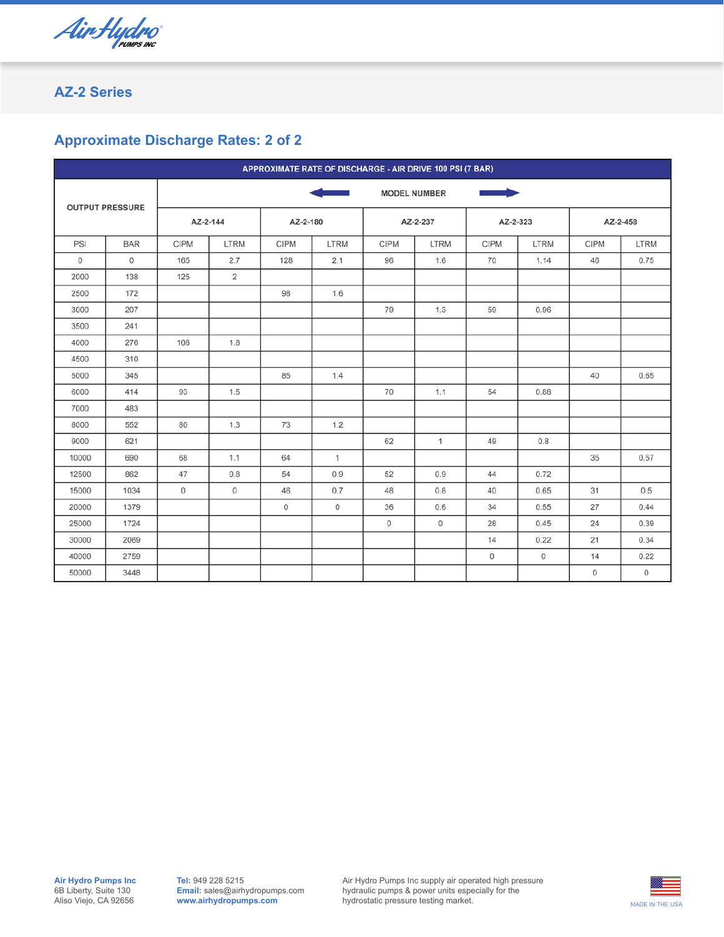

# **Approximate Discharge Rates: 2 of 2**

| APPROXIMATE RATE OF DISCHARGE - AIR DRIVE 100 PSI (7 BAR) |                        |             |                     |             |          |             |              |             |             |             |             |  |  |  |
|-----------------------------------------------------------|------------------------|-------------|---------------------|-------------|----------|-------------|--------------|-------------|-------------|-------------|-------------|--|--|--|
|                                                           | <b>OUTPUT PRESSURE</b> |             | <b>MODEL NUMBER</b> |             |          |             |              |             |             |             |             |  |  |  |
|                                                           |                        | AZ-2-144    |                     |             | AZ-2-180 |             | AZ-2-237     |             | AZ-2-323    | AZ-2-458    |             |  |  |  |
| PSI                                                       | <b>BAR</b>             | <b>CIPM</b> | <b>LTRM</b>         | <b>CIPM</b> | LTRM     | <b>CIPM</b> | <b>LTRM</b>  | <b>CIPM</b> | <b>LTRM</b> | <b>CIPM</b> | <b>LTRM</b> |  |  |  |
| 0                                                         | 0                      | 165         | 2.7                 | 128         | 2.1      | 96          | 1.6          | 70          | 1.14        | 46          | 0.75        |  |  |  |
| 2000                                                      | 138                    | 125         | 2                   |             |          |             |              |             |             |             |             |  |  |  |
| 2500                                                      | 172                    |             |                     | 98          | 1.6      |             |              |             |             |             |             |  |  |  |
| 3000                                                      | 207                    |             |                     |             |          | 79          | 1.3          | 59          | 0.96        |             |             |  |  |  |
| 3500                                                      | 241                    |             |                     |             |          |             |              |             |             |             |             |  |  |  |
| 4000                                                      | 276                    | 108         | 1.8                 |             |          |             |              |             |             |             |             |  |  |  |
| 4500                                                      | 310                    |             |                     |             |          |             |              |             |             |             |             |  |  |  |
| 5000                                                      | 345                    |             |                     | 85          | 1.4      |             |              |             |             | 40          | 0.65        |  |  |  |
| 6000                                                      | 414                    | 93          | 1.5                 |             |          | 70          | 1.1          | 54          | 0.88        |             |             |  |  |  |
| 7000                                                      | 483                    |             |                     |             |          |             |              |             |             |             |             |  |  |  |
| 8000                                                      | 552                    | 80          | 1.3                 | 73          | 1.2      |             |              |             |             |             |             |  |  |  |
| 9000                                                      | 621                    |             |                     |             |          | 62          | $\mathbf{1}$ | 49          | 0.8         |             |             |  |  |  |
| 10000                                                     | 690                    | 68          | 1.1                 | 64          | 1        |             |              |             |             | 35          | 0.57        |  |  |  |
| 12500                                                     | 862                    | 47          | 0.8                 | 54          | 0.9      | 52          | 0.9          | 44          | 0.72        |             |             |  |  |  |
| 15000                                                     | 1034                   | $\mathbf 0$ | 0                   | 46          | 0.7      | 48          | 0.8          | 40          | 0.65        | 31          | 0.5         |  |  |  |
| 20000                                                     | 1379                   |             |                     | 0           | 0        | 36          | 0.6          | 34          | 0.55        | 27          | 0.44        |  |  |  |
| 25000                                                     | 1724                   |             |                     |             |          | 0           | $\mathbf 0$  | 28          | 0.45        | 24          | 0.39        |  |  |  |
| 30000                                                     | 2069                   |             |                     |             |          |             |              | 14          | 0.22        | 21          | 0.34        |  |  |  |
| 40000                                                     | 2759                   |             |                     |             |          |             |              | $\mathbf 0$ | $\mathbf 0$ | 14          | 0.22        |  |  |  |
| 50000                                                     | 3448                   |             |                     |             |          |             |              |             |             | $\mathbf 0$ | $\circ$     |  |  |  |

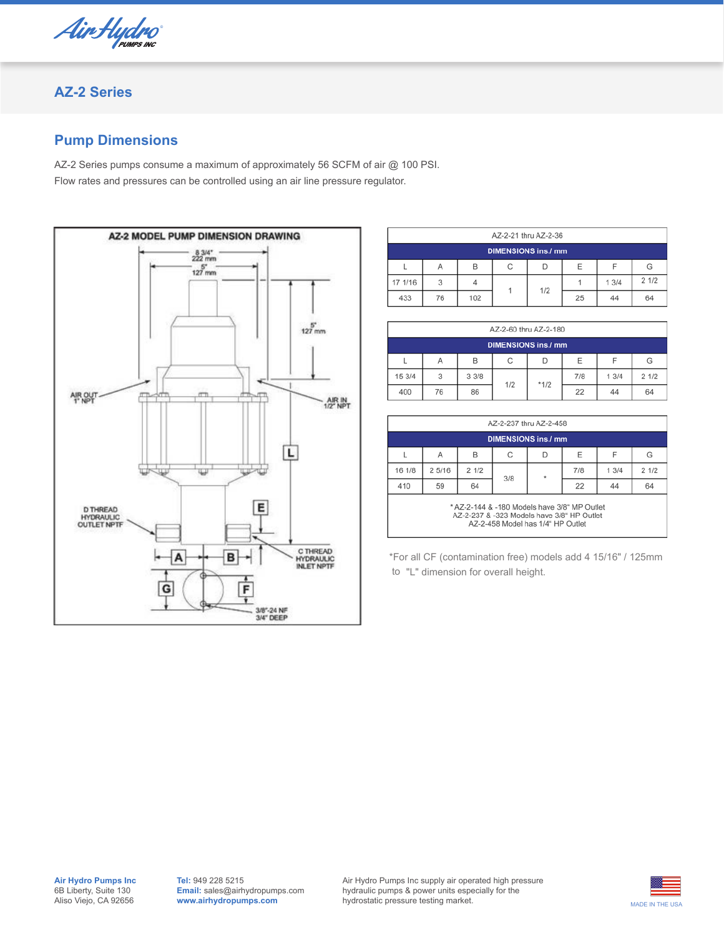

## **Pump Dimensions**

AZ-2 Series pumps consume a maximum of approximately 56 SCFM of air @ 100 PSI.  $\mathcal{L}=\mathcal{L}=\mathcal{L}=\mathcal{L}=\mathcal{L}=\mathcal{L}=\mathcal{L}=\mathcal{L}=\mathcal{L}=\mathcal{L}=\mathcal{L}=\mathcal{L}=\mathcal{L}=\mathcal{L}=\mathcal{L}=\mathcal{L}=\mathcal{L}=\mathcal{L}=\mathcal{L}=\mathcal{L}=\mathcal{L}=\mathcal{L}=\mathcal{L}=\mathcal{L}=\mathcal{L}=\mathcal{L}=\mathcal{L}=\mathcal{L}=\mathcal{L}=\mathcal{L}=\mathcal{L}=\mathcal{L}=\mathcal{L}=\mathcal{L}=\mathcal{L}=\mathcal{L}=\mathcal{$ Flow rates and pressures can be controlled using an air line pressure regulator.



| AZ-2-21 thru AZ-2-36 |                           |     |  |     |    |      |      |  |  |  |  |  |
|----------------------|---------------------------|-----|--|-----|----|------|------|--|--|--|--|--|
|                      | <b>DIMENSIONS ins./mm</b> |     |  |     |    |      |      |  |  |  |  |  |
|                      |                           | E   |  | G   |    |      |      |  |  |  |  |  |
| 17 1/16              | 3                         |     |  | 1/2 |    | 13/4 | 21/2 |  |  |  |  |  |
| 433                  | 76                        | 102 |  |     | 25 | 44   | 64   |  |  |  |  |  |

| AZ-2-60 thru AZ-2-180     |                            |      |     |        |     |      |      |  |  |  |  |  |
|---------------------------|----------------------------|------|-----|--------|-----|------|------|--|--|--|--|--|
| <b>DIMENSIONS ins./mm</b> |                            |      |     |        |     |      |      |  |  |  |  |  |
|                           | Ε<br>F<br>B<br>С<br>G<br>Α |      |     |        |     |      |      |  |  |  |  |  |
| 15 3/4                    | 3                          | 33/8 | 1/2 | $*1/2$ | 7/8 | 13/4 | 21/2 |  |  |  |  |  |
| 400                       | 76                         | 86   |     |        | 22  | 44   | 64   |  |  |  |  |  |

| AZ-2-237 thru AZ-2-458    |                                                                                                                                 |      |     |         |     |      |      |  |  |  |  |  |  |
|---------------------------|---------------------------------------------------------------------------------------------------------------------------------|------|-----|---------|-----|------|------|--|--|--|--|--|--|
| <b>DIMENSIONS ins./mm</b> |                                                                                                                                 |      |     |         |     |      |      |  |  |  |  |  |  |
|                           | Α                                                                                                                               | B    | C   | D       | Ε   | F    | G    |  |  |  |  |  |  |
| 16 1/8                    | 2 5/16                                                                                                                          | 21/2 | 3/8 | $\star$ | 7/8 | 13/4 | 21/2 |  |  |  |  |  |  |
| 410                       | 59                                                                                                                              | 64   |     |         | 22  | 44   | 64   |  |  |  |  |  |  |
|                           | * AZ-2-144 & -180 Models have 3/8" MP Outlet<br>AZ-2-237 & -323 Models have 3/8" HP Outlet<br>AZ-2-458 Model has 1/4" HP Outlet |      |     |         |     |      |      |  |  |  |  |  |  |

\*For all CF (contamination free) models add 4 15/16" / 125mm to "L" dimension for overall height.

**Tel:** 949 228 5215 **Email:** sales@airhydropumps.com www.airhydropumps.com Air Hydro Pumps Inc supply air operated high pressure hydraulic pumps & power units especially for the hydrostatic pressure testing market.

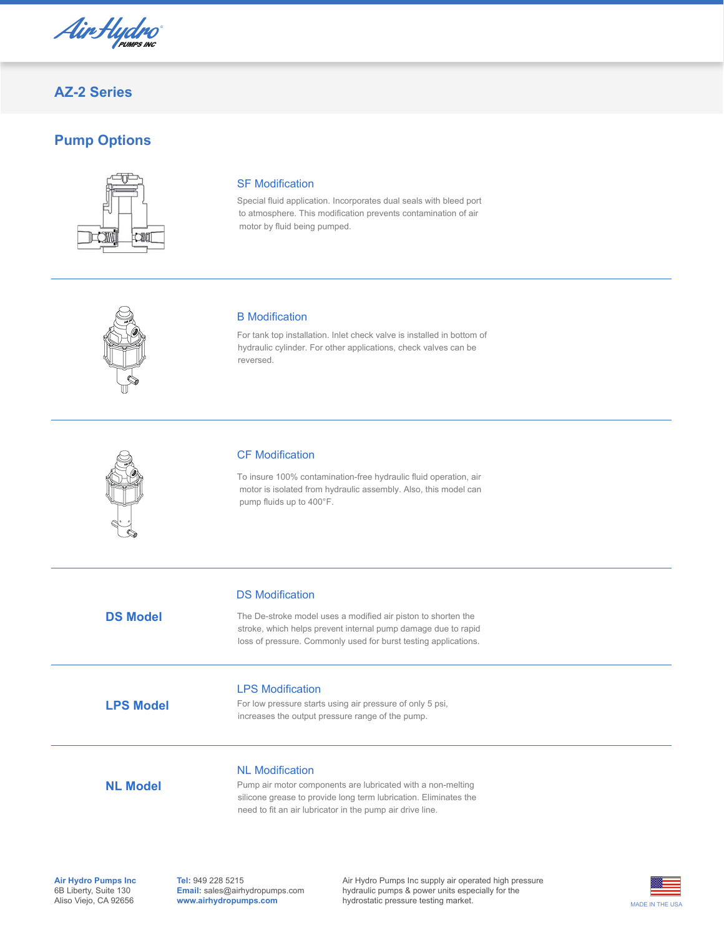4ir Hudr

### **Pump Options**



### SF Modification

Special fluid application. Incorporates dual seals with bleed port to atmosphere. This modification prevents contamination of air motor by fluid being pumped.



#### B Modification

For tank top installation. Inlet check valve is installed in bottom of hydraulic cylinder. For other applications, check valves can be reversed.



### CF Modification

To insure 100% contamination-free hydraulic fluid operation, air motor is isolated from hydraulic assembly. Also, this model can pump fluids up to 400°F.

 stroke, which helps prevent internal pump damage due to rapid loss of pressure. Commonly used for burst testing applications.

DS Modification

#### The De-stroke model uses a modified air piston to shorten the

**LPS Model**

**DS Model**

LPS Modification

For low pressure starts using air pressure of only 5 psi, increases the output pressure range of the pump.

**NL Model**

#### NL Modification

Pump air motor components are lubricated with a non-melting silicone grease to provide long term lubrication. Eliminates the need to fit an air lubricator in the pump air drive line.

**Air Hydro Pumps Inc Tel: 94** 6B Liberty, Suite 130 Aliso Viejo, CA 92656

**Tel:** 949 228 5215 **Email:** sales@airhydropumps.com **www.airhydropumps.com**

Air Hydro Pumps Inc supply air operated high pressure hydraulic pumps & power units especially for the hydrostatic pressure testing market.